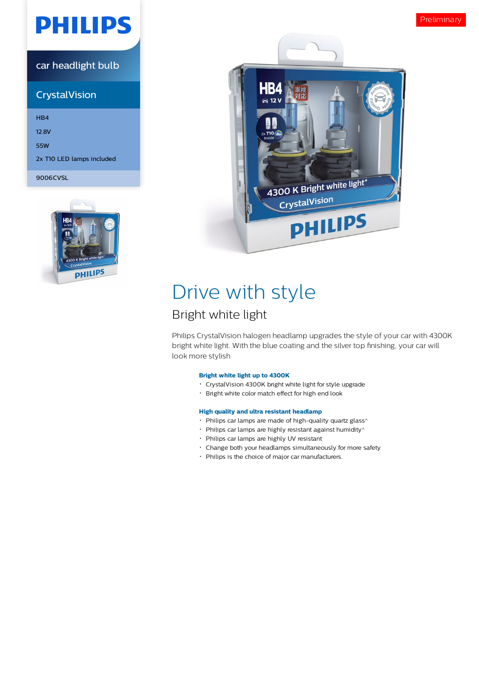# **PHILIPS**

### car headlight bulb

## **CrystalVision**

HB4 12.8V 55W 2x T10 LED lamps included 9006CVSL





## Drive with style

## Bright white light

Philips CrystalVision halogen headlamp upgrades the style of your car with 4300K bright white light. With the blue coating and the silver top finishing, your car will look more stylish

### **Bright white light up to 4300K**

- CrystalVision 4300K bright white light for style upgrade
- Bright white color match effect for high end look

#### **High quality and ultra resistant headlamp**

- $\cdot$  Philips car lamps are made of high-quality quartz glass<sup> $\wedge$ </sup>
- $\cdot$  Philips car lamps are highly resistant against humidity $\wedge$
- Philips car lamps are highly UV resistant
- Change both your headlamps simultaneously for more safety
- Philips is the choice of major car manufacturers.